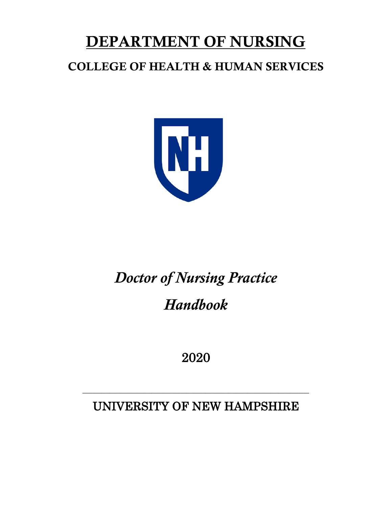# DEPARTMENT OF NURSING

## COLLEGE OF HEALTH & HUMAN SERVICES



## *Doctor of Nursing Practice Handbook*

2020

UNIVERSITY OF NEW HAMPSHIRE

\_\_\_\_\_\_\_\_\_\_\_\_\_\_\_\_\_\_\_\_\_\_\_\_\_\_\_\_\_\_\_\_\_\_\_\_\_\_\_\_\_\_\_\_\_\_\_\_\_\_\_\_\_\_\_\_\_\_\_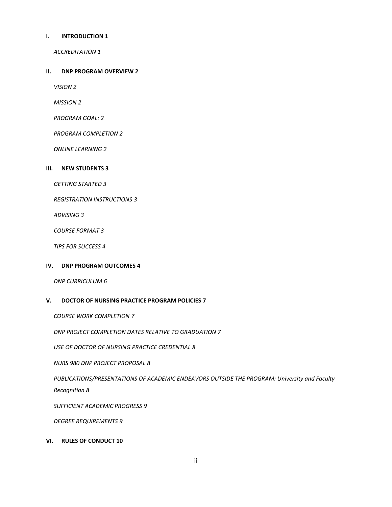#### **I. [INTRODUCTION](#page-3-0) 1**

*[ACCREDITATION](#page-3-1) 1*

#### **II. [DNP PROGRAM OVERVIEW](#page-4-0) 2**

*[VISION](#page-4-1) 2*

*[MISSION](#page-4-2) 2*

*[PROGRAM GOAL:](#page-4-3) 2*

*[PROGRAM COMPLETION](#page-4-4) 2*

*[ONLINE LEARNING](#page-4-5) 2*

#### **III. [NEW STUDENTS](#page-5-0) 3**

*[GETTING STARTED](#page-5-1) 3*

*[REGISTRATION INSTRUCTIONS](#page-5-2) 3*

*[ADVISING](#page-5-3) 3*

*[COURSE FORMAT](#page-5-4) 3*

*[TIPS FOR SUCCESS](#page-6-0) 4*

#### **IV. [DNP PROGRAM OUTCOMES](#page-6-1) 4**

*[DNP CURRICULUM](#page-8-0) 6*

#### **V. [DOCTOR OF NURSING PRACTICE PROGRAM POLICIES](#page-9-0) 7**

*[COURSE WORK COMPLETION](#page-9-1) 7*

*[DNP PROJECT COMPLETION DATES RELATIVE TO GRADUATION](#page-9-2) 7*

*[USE OF DOCTOR OF NURSING PRACTICE CREDENTIAL](#page-10-0) 8*

*[NURS 980 DNP PROJECT PROPOSAL](#page-10-1) 8*

*[PUBLICATIONS/PRESENTATIONS OF ACADEMIC ENDEAVORS OUTSIDE THE PROGRAM: University and Faculty](#page-10-2)  [Recognition](#page-10-2) 8*

*[SUFFICIENT ACADEMIC PROGRESS](#page-11-0) 9*

*[DEGREE REQUIREMENTS](#page-11-1) 9*

#### **VI. [RULES OF CONDUCT](#page-12-0) 10**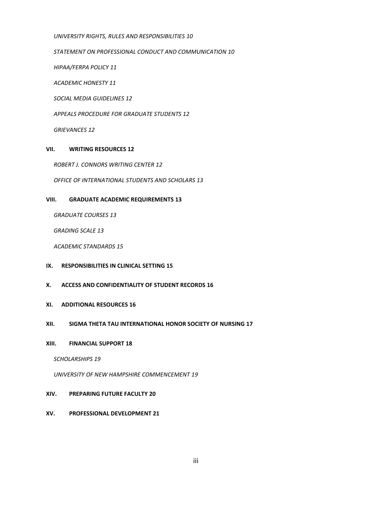*[UNIVERSITY RIGHTS, RULES AND RESPONSIBILITIES](#page-12-1) 10*

*[STATEMENT ON PROFESSIONAL CONDUCT AND COMMUNICATION](#page-12-2) 10*

*[HIPAA/FERPA POLICY](#page-13-0) 11*

*[ACADEMIC HONESTY](#page-13-1) 11*

*[SOCIAL MEDIA GUIDELINES](#page-14-0) 12*

*[APPEALS PROCEDURE FOR GRADUATE STUDENTS](#page-14-1) 12*

*[GRIEVANCES](#page-14-2) 12*

#### **VII. [WRITING RESOURCES](#page-14-3) 12**

*[ROBERT J. CONNORS WRITING CENTER](#page-14-4) 12*

*[OFFICE OF INTERNATIONAL STUDENTS AND SCHOLARS](#page-15-0) 13*

#### **VIII. [GRADUATE ACADEMIC REQUIREMENTS](#page-15-1) 13**

*[GRADUATE COURSES](#page-15-2) 13*

*[GRADING SCALE](#page-15-3) 13*

*[ACADEMIC STANDARDS](#page-17-0) 15*

- **IX. [RESPONSIBILITIES IN CLINICAL SETTING](#page-17-1) 15**
- **X. [ACCESS AND CONFIDENTIALITY OF STUDENT RECORDS](#page-18-0) 16**
- **XI. [ADDITIONAL RESOURCES](#page-18-1) 16**
- **XII. [SIGMA THETA TAU INTERNATIONAL HONOR SOCIETY OF NURSING](#page-19-0) 17**

#### **XIII. [FINANCIAL SUPPORT](#page-20-0) 18**

*[SCHOLARSHIPS](#page-21-0) 19*

*[UNIVERSITY OF NEW HAMPSHIRE COMMENCEMENT](#page-21-1) 19*

#### **XIV. [PREPARING FUTURE FACULTY](#page-22-0) 20**

**XV. [PROFESSIONAL DEVELOPMENT](#page-23-0) 21**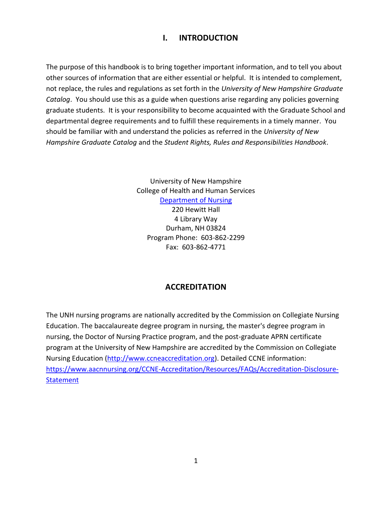## <span id="page-3-0"></span>**I. INTRODUCTION**

The purpose of this handbook is to bring together important information, and to tell you about other sources of information that are either essential or helpful. It is intended to complement, not replace, the rules and regulations as set forth in the *University of New Hampshire Graduate Catalog*. You should use this as a guide when questions arise regarding any policies governing graduate students. It is your responsibility to become acquainted with the Graduate School and departmental degree requirements and to fulfill these requirements in a timely manner. You should be familiar with and understand the policies as referred in the *University of New Hampshire Graduate Catalog* and the *Student Rights, Rules and Responsibilities Handbook*.

> University of New Hampshire College of Health and Human Services [Department of Nursing](http://chhs.unh.edu/nursing) 220 Hewitt Hall 4 Library Way Durham, NH 03824 Program Phone: 603-862-2299 Fax: 603-862-4771

## **ACCREDITATION**

<span id="page-3-1"></span>The UNH nursing programs are nationally accredited by the Commission on Collegiate Nursing Education. The baccalaureate degree program in nursing, the master's degree program in nursing, the Doctor of Nursing Practice program, and the post-graduate APRN certificate program at the University of New Hampshire are accredited by the Commission on Collegiate Nursing Education [\(http://www.ccneaccreditation.org\)](http://www.ccneaccreditation.org/). Detailed CCNE information: [https://www.aacnnursing.org/CCNE-Accreditation/Resources/FAQs/Accreditation-Disclosure-](https://www.aacnnursing.org/CCNE-Accreditation/Resources/FAQs/Accreditation-Disclosure-Statement)**[Statement](https://www.aacnnursing.org/CCNE-Accreditation/Resources/FAQs/Accreditation-Disclosure-Statement)**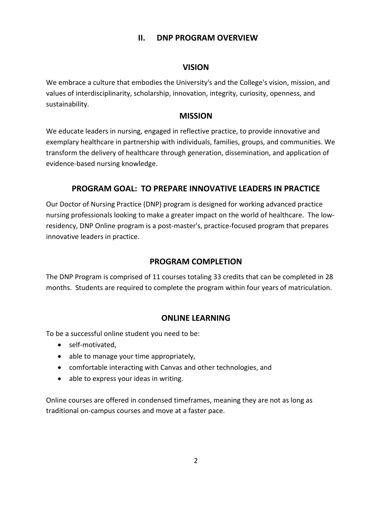## **II. DNP PROGRAM OVERVIEW**

## **VISION**

<span id="page-4-1"></span><span id="page-4-0"></span>We embrace a culture that embodies the University's and the College's vision, mission, and values of interdisciplinarity, scholarship, innovation, integrity, curiosity, openness, and sustainability.

## **MISSION**

<span id="page-4-2"></span>We educate leaders in nursing, engaged in reflective practice, to provide innovative and exemplary healthcare in partnership with individuals, families, groups, and communities. We transform the delivery of healthcare through generation, dissemination, and application of evidence-based nursing knowledge.

## **PROGRAM GOAL: TO PREPARE INNOVATIVE LEADERS IN PRACTICE**

<span id="page-4-3"></span>Our Doctor of Nursing Practice (DNP) program is designed for working advanced practice nursing professionals looking to make a greater impact on the world of healthcare. The lowresidency, DNP Online program is a post-master's, practice-focused program that prepares innovative leaders in practice.

## **PROGRAM COMPLETION**

<span id="page-4-4"></span>The DNP Program is comprised of 11 courses totaling 33 credits that can be completed in 28 months. Students are required to complete the program within four years of matriculation.

## **ONLINE LEARNING**

<span id="page-4-5"></span>To be a successful online student you need to be:

- self-motivated,
- able to manage your time appropriately,
- comfortable interacting with Canvas and other technologies, and
- able to express your ideas in writing.

Online courses are offered in condensed timeframes, meaning they are not as long as traditional on-campus courses and move at a faster pace.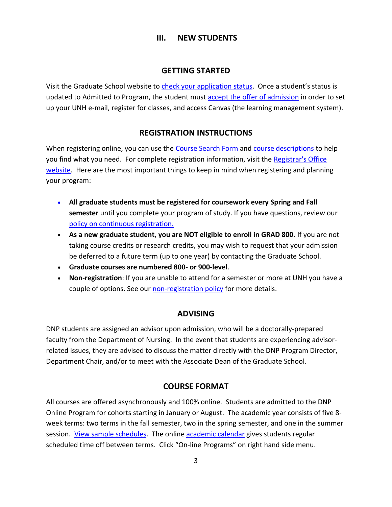## **III. NEW STUDENTS**

## **GETTING STARTED**

<span id="page-5-1"></span><span id="page-5-0"></span>Visit the Graduate School website to [check your application status](https://uofnh.force.com/gradapp/TX_SiteLogin?startURL=%2Fgradapp%2FTargetX_Portal__PB). Once a student's status is updated to Admitted to Program, the student must [accept the offer of admission](https://gradschool.unh.edu/offer-admission-response) in order to set up your UNH e-mail, register for classes, and access Canvas (the learning management system).

## **REGISTRATION INSTRUCTIONS**

<span id="page-5-2"></span>When registering online, you can use the [Course Search Form](http://courses.unh.edu/) an[d course descriptions](https://catalog.unh.edu/graduate/course-descriptions/nurs/) to help you find what you need. For complete registration information, visit the [Registrar's Office](https://www.unh.edu/registrar)  [website.](https://www.unh.edu/registrar) Here are the most important things to keep in mind when registering and planning your program:

- **All graduate students must be registered for coursework every Spring and Fall semester** until you complete your program of study. If you have questions, review our [policy on continuous registration.](https://catalog.unh.edu/graduate/general-information/registration/)
- **As a new graduate student, you are NOT eligible to enroll in GRAD 800.** If you are not taking course credits or research credits, you may wish to request that your admission be deferred to a future term (up to one year) by contacting the Graduate School.
- **Graduate courses are numbered 800- or 900-level**.
- **Non-registration**: If you are unable to attend for a semester or more at UNH you have a couple of options. See our [non-registration policy](https://catalog.unh.edu/graduate/general-information/registration/) for more details.

## **ADVISING**

<span id="page-5-3"></span>DNP students are assigned an advisor upon admission, who will be a doctorally-prepared faculty from the Department of Nursing. In the event that students are experiencing advisorrelated issues, they are advised to discuss the matter directly with the DNP Program Director, Department Chair, and/or to meet with the Associate Dean of the Graduate School.

## **COURSE FORMAT**

<span id="page-5-4"></span>All courses are offered asynchronously and 100% online. Students are admitted to the DNP Online Program for cohorts starting in January or August. The academic year consists of five 8 week terms: two terms in the fall semester, two in the spring semester, and one in the summer session. [View sample schedules.](https://online.unh.edu/program/dnp/nursing#collapse_351) The online [academic calendar](http://calendar.unh.edu/MasterCalendar.aspx) gives students regular scheduled time off between terms. Click "On-line Programs" on right hand side menu.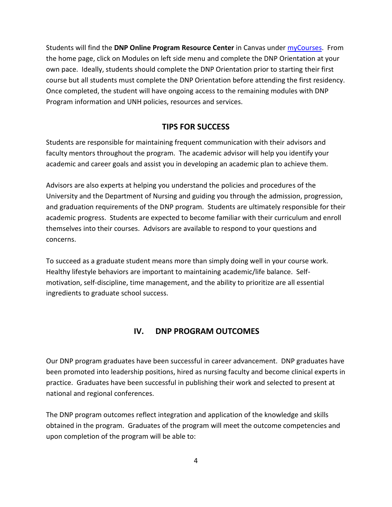Students will find the **DNP Online Program Resource Center** in Canvas under [myCourses.](https://mylogin.unh.edu/secureauth4/?SAMLRequest=nZJPTwIxEMXvfopN7%2Bx%2FFmjYTRBiJEHdAHrwVtsBmuy22GlVvr1l0YSEyMFTk%2Bnr%2FN686RhZ2%2BzpxNmdWsK7A7TBV9sopN1FSZxRVDOUSBVrAanldDV5WNA0jOneaKu5bkgwn5VkAwMuUl7EMOJxniWjdJCJXAg%2B5Fmx4cOC8T7L8nwIJHgBg1Krkvg2%2FjWig7lCy5T1pTgpevGolxTrJKf9jMbxKwnqH9atVEKq7XVjbycR0vv1uu7VT6s1CSaIYKyHTrVC14JZgfmQHJ6Xi5LsrN0jjaL2wLUzCBg6tQtBuKjRW6miYxikGh8P2rk1Zyld98J%2BuaQ6Ujzk2Fr6aY3j1hkIuW47QDqOzgDVzfi0m0ffcj6rdSP54T%2B7udOmZfZvdRImXUWK3qaTUmiZbCZCGED0wTWN%2FpwaYBZK4k2DDyK6tOb9RpefqfoG) From the home page, click on Modules on left side menu and complete the DNP Orientation at your own pace. Ideally, students should complete the DNP Orientation prior to starting their first course but all students must complete the DNP Orientation before attending the first residency. Once completed, the student will have ongoing access to the remaining modules with DNP Program information and UNH policies, resources and services.

## **TIPS FOR SUCCESS**

<span id="page-6-0"></span>Students are responsible for maintaining frequent communication with their advisors and faculty mentors throughout the program. The academic advisor will help you identify your academic and career goals and assist you in developing an academic plan to achieve them.

Advisors are also experts at helping you understand the policies and procedures of the University and the Department of Nursing and guiding you through the admission, progression, and graduation requirements of the DNP program. Students are ultimately responsible for their academic progress. Students are expected to become familiar with their curriculum and enroll themselves into their courses. Advisors are available to respond to your questions and concerns.

To succeed as a graduate student means more than simply doing well in your course work. Healthy lifestyle behaviors are important to maintaining academic/life balance. Selfmotivation, self-discipline, time management, and the ability to prioritize are all essential ingredients to graduate school success.

## **IV. DNP PROGRAM OUTCOMES**

<span id="page-6-1"></span>Our DNP program graduates have been successful in career advancement. DNP graduates have been promoted into leadership positions, hired as nursing faculty and become clinical experts in practice. Graduates have been successful in publishing their work and selected to present at national and regional conferences.

The DNP program outcomes reflect integration and application of the knowledge and skills obtained in the program. Graduates of the program will meet the outcome competencies and upon completion of the program will be able to: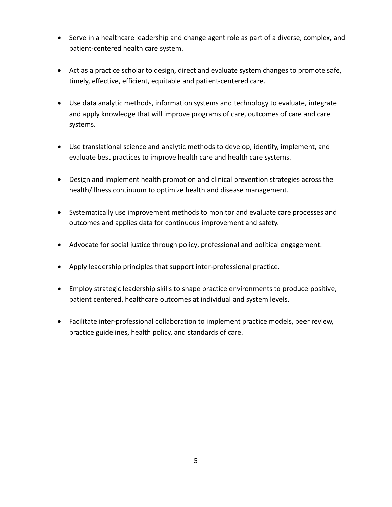- Serve in a healthcare leadership and change agent role as part of a diverse, complex, and patient-centered health care system.
- Act as a practice scholar to design, direct and evaluate system changes to promote safe, timely, effective, efficient, equitable and patient-centered care.
- Use data analytic methods, information systems and technology to evaluate, integrate and apply knowledge that will improve programs of care, outcomes of care and care systems.
- Use translational science and analytic methods to develop, identify, implement, and evaluate best practices to improve health care and health care systems.
- Design and implement health promotion and clinical prevention strategies across the health/illness continuum to optimize health and disease management.
- Systematically use improvement methods to monitor and evaluate care processes and outcomes and applies data for continuous improvement and safety.
- Advocate for social justice through policy, professional and political engagement.
- Apply leadership principles that support inter-professional practice.
- Employ strategic leadership skills to shape practice environments to produce positive, patient centered, healthcare outcomes at individual and system levels.
- Facilitate inter-professional collaboration to implement practice models, peer review, practice guidelines, health policy, and standards of care.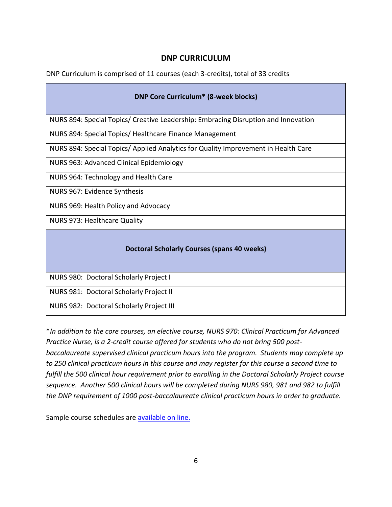## **DNP CURRICULUM**

<span id="page-8-0"></span>DNP Curriculum is comprised of 11 courses (each 3-credits), total of 33 credits

| <b>DNP Core Curriculum* (8-week blocks)</b>                                        |  |  |  |  |
|------------------------------------------------------------------------------------|--|--|--|--|
| NURS 894: Special Topics/ Creative Leadership: Embracing Disruption and Innovation |  |  |  |  |
| NURS 894: Special Topics/ Healthcare Finance Management                            |  |  |  |  |
| NURS 894: Special Topics/ Applied Analytics for Quality Improvement in Health Care |  |  |  |  |
| NURS 963: Advanced Clinical Epidemiology                                           |  |  |  |  |
| NURS 964: Technology and Health Care                                               |  |  |  |  |
| NURS 967: Evidence Synthesis                                                       |  |  |  |  |
| NURS 969: Health Policy and Advocacy                                               |  |  |  |  |
| NURS 973: Healthcare Quality                                                       |  |  |  |  |
| <b>Doctoral Scholarly Courses (spans 40 weeks)</b>                                 |  |  |  |  |
| NURS 980: Doctoral Scholarly Project I                                             |  |  |  |  |
| NURS 981: Doctoral Scholarly Project II                                            |  |  |  |  |
| NURS 982: Doctoral Scholarly Project III                                           |  |  |  |  |

\**In addition to the core courses, an elective course, NURS 970: Clinical Practicum for Advanced Practice Nurse, is a 2-credit course offered for students who do not bring 500 postbaccalaureate supervised clinical practicum hours into the program. Students may complete up to 250 clinical practicum hours in this course and may register for this course a second time to fulfill the 500 clinical hour requirement prior to enrolling in the Doctoral Scholarly Project course sequence. Another 500 clinical hours will be completed during NURS 980, 981 and 982 to fulfill the DNP requirement of 1000 post-baccalaureate clinical practicum hours in order to graduate.*

Sample course schedules are [available on line.](https://online.unh.edu/program/dnp/nursing#collapse_351)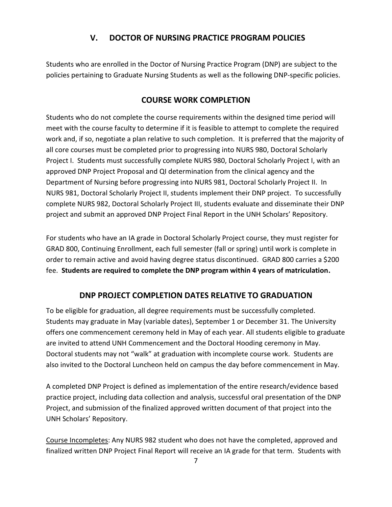## **V. DOCTOR OF NURSING PRACTICE PROGRAM POLICIES**

<span id="page-9-0"></span>Students who are enrolled in the Doctor of Nursing Practice Program (DNP) are subject to the policies pertaining to Graduate Nursing Students as well as the following DNP-specific policies.

## **COURSE WORK COMPLETION**

<span id="page-9-1"></span>Students who do not complete the course requirements within the designed time period will meet with the course faculty to determine if it is feasible to attempt to complete the required work and, if so, negotiate a plan relative to such completion. It is preferred that the majority of all core courses must be completed prior to progressing into NURS 980, Doctoral Scholarly Project I. Students must successfully complete NURS 980, Doctoral Scholarly Project I, with an approved DNP Project Proposal and QI determination from the clinical agency and the Department of Nursing before progressing into NURS 981, Doctoral Scholarly Project II. In NURS 981, Doctoral Scholarly Project II, students implement their DNP project. To successfully complete NURS 982, Doctoral Scholarly Project III, students evaluate and disseminate their DNP project and submit an approved DNP Project Final Report in the UNH Scholars' Repository.

For students who have an IA grade in Doctoral Scholarly Project course, they must register for GRAD 800, Continuing Enrollment, each full semester (fall or spring) until work is complete in order to remain active and avoid having degree status discontinued. GRAD 800 carries a \$200 fee. **Students are required to complete the DNP program within 4 years of matriculation.**

## **DNP PROJECT COMPLETION DATES RELATIVE TO GRADUATION**

<span id="page-9-2"></span>To be eligible for graduation, all degree requirements must be successfully completed. Students may graduate in May (variable dates), September 1 or December 31. The University offers one commencement ceremony held in May of each year. All students eligible to graduate are invited to attend UNH Commencement and the Doctoral Hooding ceremony in May. Doctoral students may not "walk" at graduation with incomplete course work. Students are also invited to the Doctoral Luncheon held on campus the day before commencement in May.

A completed DNP Project is defined as implementation of the entire research/evidence based practice project, including data collection and analysis, successful oral presentation of the DNP Project, and submission of the finalized approved written document of that project into the UNH Scholars' Repository.

Course Incompletes: Any NURS 982 student who does not have the completed, approved and finalized written DNP Project Final Report will receive an IA grade for that term. Students with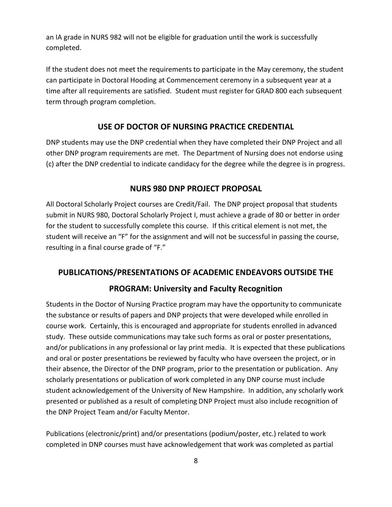an IA grade in NURS 982 will not be eligible for graduation until the work is successfully completed.

If the student does not meet the requirements to participate in the May ceremony, the student can participate in Doctoral Hooding at Commencement ceremony in a subsequent year at a time after all requirements are satisfied. Student must register for GRAD 800 each subsequent term through program completion.

### **USE OF DOCTOR OF NURSING PRACTICE CREDENTIAL**

<span id="page-10-0"></span>DNP students may use the DNP credential when they have completed their DNP Project and all other DNP program requirements are met. The Department of Nursing does not endorse using (c) after the DNP credential to indicate candidacy for the degree while the degree is in progress.

#### **NURS 980 DNP PROJECT PROPOSAL**

<span id="page-10-1"></span>All Doctoral Scholarly Project courses are Credit/Fail. The DNP project proposal that students submit in NURS 980, Doctoral Scholarly Project I, must achieve a grade of 80 or better in order for the student to successfully complete this course. If this critical element is not met, the student will receive an "F" for the assignment and will not be successful in passing the course, resulting in a final course grade of "F."

#### <span id="page-10-2"></span>**PUBLICATIONS/PRESENTATIONS OF ACADEMIC ENDEAVORS OUTSIDE THE**

#### **PROGRAM: University and Faculty Recognition**

Students in the Doctor of Nursing Practice program may have the opportunity to communicate the substance or results of papers and DNP projects that were developed while enrolled in course work. Certainly, this is encouraged and appropriate for students enrolled in advanced study. These outside communications may take such forms as oral or poster presentations, and/or publications in any professional or lay print media. It is expected that these publications and oral or poster presentations be reviewed by faculty who have overseen the project, or in their absence, the Director of the DNP program, prior to the presentation or publication. Any scholarly presentations or publication of work completed in any DNP course must include student acknowledgement of the University of New Hampshire. In addition, any scholarly work presented or published as a result of completing DNP Project must also include recognition of the DNP Project Team and/or Faculty Mentor.

Publications (electronic/print) and/or presentations (podium/poster, etc.) related to work completed in DNP courses must have acknowledgement that work was completed as partial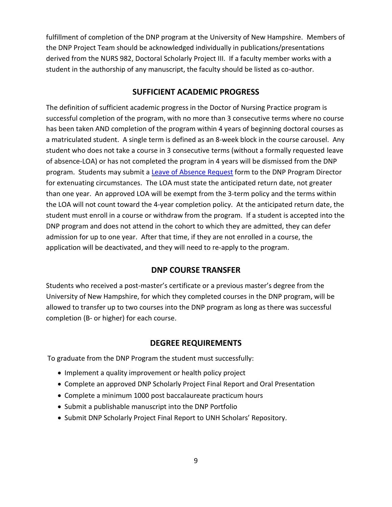fulfillment of completion of the DNP program at the University of New Hampshire. Members of the DNP Project Team should be acknowledged individually in publications/presentations derived from the NURS 982, Doctoral Scholarly Project III. If a faculty member works with a student in the authorship of any manuscript, the faculty should be listed as co-author.

#### **SUFFICIENT ACADEMIC PROGRESS**

<span id="page-11-0"></span>The definition of sufficient academic progress in the Doctor of Nursing Practice program is successful completion of the program, with no more than 3 consecutive terms where no course has been taken AND completion of the program within 4 years of beginning doctoral courses as a matriculated student. A single term is defined as an 8-week block in the course carousel. Any student who does not take a course in 3 consecutive terms (without a formally requested leave of absence-LOA) or has not completed the program in 4 years will be dismissed from the DNP program. Students may submit a [Leave of Absence](https://unh.box.com/v/leaveofabsence) Request form to the DNP Program Director for extenuating circumstances. The LOA must state the anticipated return date, not greater than one year. An approved LOA will be exempt from the 3-term policy and the terms within the LOA will not count toward the 4-year completion policy. At the anticipated return date, the student must enroll in a course or withdraw from the program. If a student is accepted into the DNP program and does not attend in the cohort to which they are admitted, they can defer admission for up to one year. After that time, if they are not enrolled in a course, the application will be deactivated, and they will need to re-apply to the program.

#### **DNP COURSE TRANSFER**

Students who received a post-master's certificate or a previous master's degree from the University of New Hampshire, for which they completed courses in the DNP program, will be allowed to transfer up to two courses into the DNP program as long as there was successful completion (B- or higher) for each course.

#### **DEGREE REQUIREMENTS**

<span id="page-11-1"></span>To graduate from the DNP Program the student must successfully:

- Implement a quality improvement or health policy project
- Complete an approved DNP Scholarly Project Final Report and Oral Presentation
- Complete a minimum 1000 post baccalaureate practicum hours
- Submit a publishable manuscript into the DNP Portfolio
- Submit DNP Scholarly Project Final Report to UNH Scholars' Repository.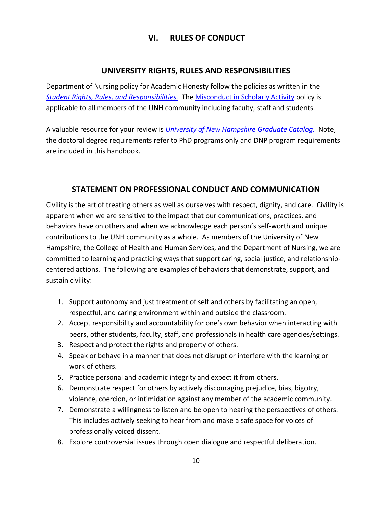## **VI. RULES OF CONDUCT**

## **UNIVERSITY RIGHTS, RULES AND RESPONSIBILITIES**

<span id="page-12-1"></span><span id="page-12-0"></span>Department of Nursing policy for Academic Honesty follow the policies as written in the *[Student Rights, Rules, and Responsibilities.](https://www.unh.edu/student-life/student-rights-rules-responsibilities)* The [Misconduct in Scholarly Activity](http://www.unh.edu/research/misconduct-scholarly-activity) policy is applicable to all members of the UNH community including faculty, staff and students.

A valuable resource for your review is *[University of New Hampshire Graduate Catalog.](http://www.unh.edu/grad-catalog/choosecatalog.cfm)* Note, the doctoral degree requirements refer to PhD programs only and DNP program requirements are included in this handbook.

## **STATEMENT ON PROFESSIONAL CONDUCT AND COMMUNICATION**

<span id="page-12-2"></span>Civility is the art of treating others as well as ourselves with respect, dignity, and care. Civility is apparent when we are sensitive to the impact that our communications, practices, and behaviors have on others and when we acknowledge each person's self-worth and unique contributions to the UNH community as a whole. As members of the University of New Hampshire, the College of Health and Human Services, and the Department of Nursing, we are committed to learning and practicing ways that support caring, social justice, and relationshipcentered actions. The following are examples of behaviors that demonstrate, support, and sustain civility:

- 1. Support autonomy and just treatment of self and others by facilitating an open, respectful, and caring environment within and outside the classroom.
- 2. Accept responsibility and accountability for one's own behavior when interacting with peers, other students, faculty, staff, and professionals in health care agencies/settings.
- 3. Respect and protect the rights and property of others.
- 4. Speak or behave in a manner that does not disrupt or interfere with the learning or work of others.
- 5. Practice personal and academic integrity and expect it from others.
- 6. Demonstrate respect for others by actively discouraging prejudice, bias, bigotry, violence, coercion, or intimidation against any member of the academic community.
- 7. Demonstrate a willingness to listen and be open to hearing the perspectives of others. This includes actively seeking to hear from and make a safe space for voices of professionally voiced dissent.
- 8. Explore controversial issues through open dialogue and respectful deliberation.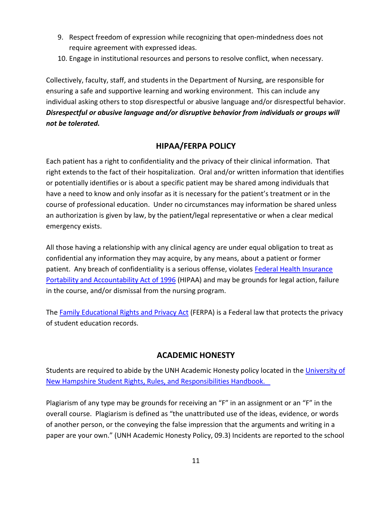- 9. Respect freedom of expression while recognizing that open-mindedness does not require agreement with expressed ideas.
- 10. Engage in institutional resources and persons to resolve conflict, when necessary.

Collectively, faculty, staff, and students in the Department of Nursing, are responsible for ensuring a safe and supportive learning and working environment. This can include any individual asking others to stop disrespectful or abusive language and/or disrespectful behavior. *Disrespectful or abusive language and/or disruptive behavior from individuals or groups will not be tolerated.*

## **HIPAA/FERPA POLICY**

<span id="page-13-0"></span>Each patient has a right to confidentiality and the privacy of their clinical information. That right extends to the fact of their hospitalization. Oral and/or written information that identifies or potentially identifies or is about a specific patient may be shared among individuals that have a need to know and only insofar as it is necessary for the patient's treatment or in the course of professional education. Under no circumstances may information be shared unless an authorization is given by law, by the patient/legal representative or when a clear medical emergency exists.

All those having a relationship with any clinical agency are under equal obligation to treat as confidential any information they may acquire, by any means, about a patient or former patient. Any breach of confidentiality is a serious offense, violates Federal Health Insurance [Portability and Accountability Act of 1996](https://www.cdc.gov/phlp/publications/topic/hipaa.html) (HIPAA) and may be grounds for legal action, failure in the course, and/or dismissal from the nursing program.

The [Family Educational Rights and Privacy Act](https://www2.ed.gov/policy/gen/guid/fpco/ferpa/index.html) (FERPA) is a Federal law that protects the privacy of student education records.

## **ACADEMIC HONESTY**

<span id="page-13-1"></span>Students are required to abide by the UNH Academic Honesty policy located in the [University of](https://www.unh.edu/student-life/student-rights-rules-responsibilities)  New Hampshire [Student Rights, Rules, and Responsibilities Handbook.](https://www.unh.edu/student-life/student-rights-rules-responsibilities) 

Plagiarism of any type may be grounds for receiving an "F" in an assignment or an "F" in the overall course. Plagiarism is defined as "the unattributed use of the ideas, evidence, or words of another person, or the conveying the false impression that the arguments and writing in a paper are your own." (UNH Academic Honesty Policy, 09.3) Incidents are reported to the school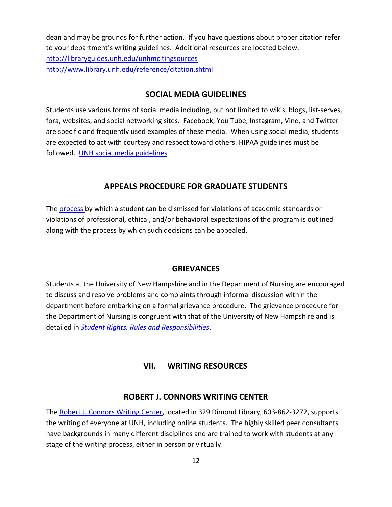dean and may be grounds for further action. If you have questions about proper citation refer to your department's writing guidelines. Additional resources are located below: <http://libraryguides.unh.edu/unhmcitingsources> <http://www.library.unh.edu/reference/citation.shtml>

### **SOCIAL MEDIA GUIDELINES**

<span id="page-14-0"></span>Students use various forms of social media including, but not limited to wikis, blogs, list-serves, fora, websites, and social networking sites. Facebook, You Tube, Instagram, Vine, and Twitter are specific and frequently used examples of these media. When using social media, students are expected to act with courtesy and respect toward others. HIPAA guidelines must be followed. [UNH social media guidelines](https://www.unh.edu/digital/standards/social-media)

### **APPEALS PROCEDURE FOR GRADUATE STUDENTS**

<span id="page-14-1"></span>The [process b](https://catalog.unh.edu/graduate/academic-regulations-degree-requirements/academic-standards/)y which a student can be dismissed for violations of academic standards or violations of professional, ethical, and/or behavioral expectations of the program is outlined along with the process by which such decisions can be appealed.

#### **GRIEVANCES**

<span id="page-14-2"></span>Students at the University of New Hampshire and in the Department of Nursing are encouraged to discuss and resolve problems and complaints through informal discussion within the department before embarking on a formal grievance procedure. The grievance procedure for the Department of Nursing is congruent with that of the University of New Hampshire and is detailed in *[Student Rights, Rules and Responsibilities](https://www.unh.edu/student-life/student-rights-rules-responsibilities)*.

#### **VII. WRITING RESOURCES**

#### **ROBERT J. CONNORS WRITING CENTER**

<span id="page-14-4"></span><span id="page-14-3"></span>The [Robert J. Connors Writing Center,](http://www.unh.edu/writing/) located in 329 Dimond Library, 603-862-3272, supports the writing of everyone at UNH, including online students. The highly skilled peer consultants have backgrounds in many different disciplines and are trained to work with students at any stage of the writing process, either in person or virtually.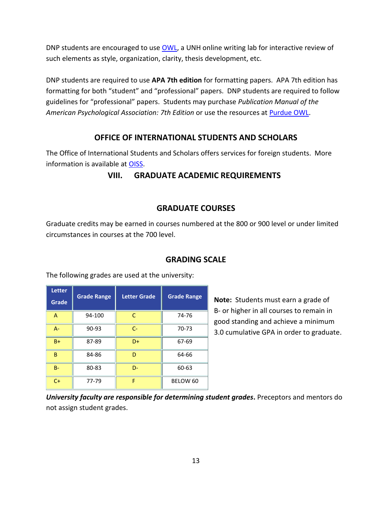DNP students are encouraged to use [OWL,](http://owl.unh.edu/) a UNH online writing lab for interactive review of such elements as style, organization, clarity, thesis development, etc.

DNP students are required to use **APA 7th edition** for formatting papers. APA 7th edition has formatting for both "student" and "professional" papers. DNP students are required to follow guidelines for "professional" papers. Students may purchase *Publication Manual of the American Psychological Association: 7th Edition* or use the resources at [Purdue OWL.](https://owl.purdue.edu/owl/research_and_citation/apa_style/apa_formatting_and_style_guide/general_format.html)

## **OFFICE OF INTERNATIONAL STUDENTS AND SCHOLARS**

<span id="page-15-1"></span><span id="page-15-0"></span>The Office of International Students and Scholars offers services for foreign students. More information is available at [OISS.](http://www.unh.edu/global/)

### **VIII. GRADUATE ACADEMIC REQUIREMENTS**

### **GRADUATE COURSES**

<span id="page-15-2"></span>Graduate credits may be earned in courses numbered at the 800 or 900 level or under limited circumstances in courses at the 700 level.

| <b>Letter</b><br>Grade | <b>Grade Range</b> | <b>Letter Grade</b> | <b>Grade Range</b> |
|------------------------|--------------------|---------------------|--------------------|
| A                      | 94-100             | C                   | 74-76              |
| $A -$                  | $90 - 93$          | $C -$               | 70-73              |
| $B+$                   | 87-89              | D+                  | 67-69              |
| B                      | 84-86              | D                   | 64-66              |
| $B -$                  | 80-83              | D-                  | 60-63              |
| $C+$                   | 77-79              | F                   | BELOW 60           |

<span id="page-15-3"></span>The following grades are used at the university:

#### **GRADING SCALE**

**Note:** Students must earn a grade of B- or higher in all courses to remain in good standing and achieve a minimum 3.0 cumulative GPA in order to graduate.

*University faculty are responsible for determining student grades***.** Preceptors and mentors do not assign student grades.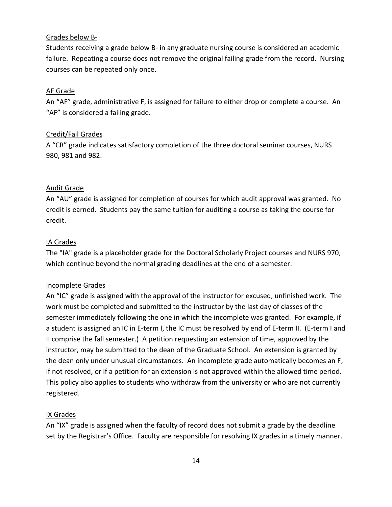#### Grades below B-

Students receiving a grade below B- in any graduate nursing course is considered an academic failure. Repeating a course does not remove the original failing grade from the record. Nursing courses can be repeated only once.

#### AF Grade

An "AF" grade, administrative F, is assigned for failure to either drop or complete a course. An "AF" is considered a failing grade.

#### Credit/Fail Grades

A "CR" grade indicates satisfactory completion of the three doctoral seminar courses, NURS 980, 981 and 982.

#### Audit Grade

An "AU" grade is assigned for completion of courses for which audit approval was granted. No credit is earned. Students pay the same tuition for auditing a course as taking the course for credit.

#### IA Grades

The "IA" grade is a placeholder grade for the Doctoral Scholarly Project courses and NURS 970, which continue beyond the normal grading deadlines at the end of a semester.

#### Incomplete Grades

An "IC" grade is assigned with the approval of the instructor for excused, unfinished work. The work must be completed and submitted to the instructor by the last day of classes of the semester immediately following the one in which the incomplete was granted. For example, if a student is assigned an IC in E-term I, the IC must be resolved by end of E-term II. (E-term I and II comprise the fall semester.) A petition requesting an extension of time, approved by the instructor, may be submitted to the dean of the Graduate School. An extension is granted by the dean only under unusual circumstances. An incomplete grade automatically becomes an F, if not resolved, or if a petition for an extension is not approved within the allowed time period. This policy also applies to students who withdraw from the university or who are not currently registered.

#### IX Grades

An "IX" grade is assigned when the faculty of record does not submit a grade by the deadline set by the Registrar's Office. Faculty are responsible for resolving IX grades in a timely manner.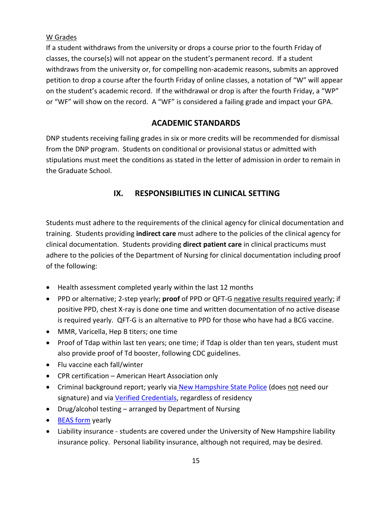### W Grades

If a student withdraws from the university or drops a course prior to the fourth Friday of classes, the course(s) will not appear on the student's permanent record. If a student withdraws from the university or, for compelling non-academic reasons, submits an approved petition to drop a course after the fourth Friday of online classes, a notation of "W" will appear on the student's academic record. If the withdrawal or drop is after the fourth Friday, a "WP" or "WF" will show on the record. A "WF" is considered a failing grade and impact your GPA.

## **ACADEMIC STANDARDS**

<span id="page-17-0"></span>DNP students receiving failing grades in six or more credits will be recommended for dismissal from the DNP program. Students on conditional or provisional status or admitted with stipulations must meet the conditions as stated in the letter of admission in order to remain in the Graduate School.

## **IX. RESPONSIBILITIES IN CLINICAL SETTING**

<span id="page-17-1"></span>Students must adhere to the requirements of the clinical agency for clinical documentation and training. Students providing **indirect care** must adhere to the policies of the clinical agency for clinical documentation. Students providing **direct patient care** in clinical practicums must adhere to the policies of the Department of Nursing for clinical documentation including proof of the following:

- Health assessment completed yearly within the last 12 months
- PPD or alternative; 2-step yearly; **proof** of PPD or QFT-G negative results required yearly; if positive PPD, chest X-ray is done one time and written documentation of no active disease is required yearly. QFT-G is an alternative to PPD for those who have had a BCG vaccine.
- MMR, Varicella, Hep B titers; one time
- Proof of Tdap within last ten years; one time; if Tdap is older than ten years, student must also provide proof of Td booster, following CDC guidelines.
- Flu vaccine each fall/winter
- CPR certification American Heart Association only
- Criminal background report; yearly via [New Hampshire State Police](https://www.nh.gov/safety/divisions/nhsp/jib/crimrecords/documents/dssp256.pdf) (does not need our signature) and vi[a Verified Credentials,](http://scholar.verifiedcredentials.com/?organization=unh) regardless of residency
- Drug/alcohol testing arranged by Department of Nursing
- [BEAS form](http://www.dhhs.nh.gov/dcbcs/beas/documents/consent.pdf) yearly
- Liability insurance students are covered under the University of New Hampshire liability insurance policy. Personal liability insurance, although not required, may be desired.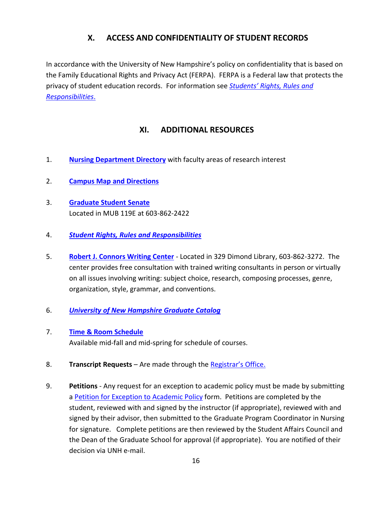## **X. ACCESS AND CONFIDENTIALITY OF STUDENT RECORDS**

<span id="page-18-0"></span>In accordance with the University of New Hampshire's policy on confidentiality that is based on the Family Educational Rights and Privacy Act (FERPA). FERPA is a Federal law that protects the privacy of student education records. For information see *Students' [Rights, Rules and](https://www.unh.edu/student-life/student-rights-rules-responsibilities)  [Responsibilities](https://www.unh.edu/student-life/student-rights-rules-responsibilities)*.

## **XI. ADDITIONAL RESOURCES**

- <span id="page-18-1"></span>1. **[Nursing Department Directory](https://chhs.unh.edu/nursing/faculty-staff-directory)** with faculty areas of research interest
- 2. **Campus Map [and Directions](http://www.unh.edu/main/map)**
- 3. **[Graduate Student Senate](https://wildcatlink.unh.edu/organization/gss)** Located in MUB 119E at 603-862-2422
- 4. *[Student Rights, Rules and Responsibilities](https://www.unh.edu/student-life/student-rights-rules-responsibilities)*
- 5. **[Robert J. Connors Writing Center](http://www.unh.edu/writing/)** Located in 329 Dimond Library, 603-862-3272. The center provides free consultation with trained writing consultants in person or virtually on all issues involving writing: subject choice, research, composing processes, genre, organization, style, grammar, and conventions.
- 6. *[University of New Hampshire Graduate Catalog](http://www.unh.edu/grad-catalog/choosecatalog.cfm)*
- 7. **[Time & Room Schedule](https://courses.unh.edu/)** Available mid-fall and mid-spring for schedule of courses.
- 8. **Transcript Requests** Are made through the [Registrar's Office](https://www.unh.edu/registrar/transcripts).
- 9. **Petitions** Any request for an exception to academic policy must be made by submitting a [Petition for Exception to Academic Policy](http://www.gradschool.unh.edu/pdf/frm_pet_exp_ap.pdf) form. Petitions are completed by the student, reviewed with and signed by the instructor (if appropriate), reviewed with and signed by their advisor, then submitted to the Graduate Program Coordinator in Nursing for signature. Complete petitions are then reviewed by the Student Affairs Council and the Dean of the Graduate School for approval (if appropriate). You are notified of their decision via UNH e-mail.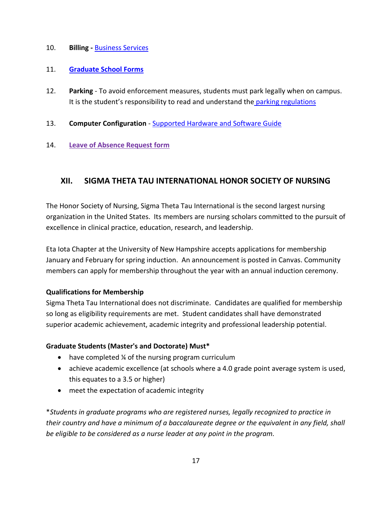#### 10. **Billing -** [Business Services](https://www.unh.edu/business-services)

#### 11. **[Graduate School Forms](http://www.gradschool.unh.edu/fp.php)**

- 12. **Parking** To avoid enforcement measures, students must park legally when on campus. It is the student's responsibility to read and understand the parking regulations
- 13. **Computer Configuration** [Supported Hardware](https://td.unh.edu/TDClient/KB/ArticleDet?ID=1118) and Software Guide

#### 14. **[Leave of Absence Request form](https://chhs.unh.edu/sites/default/files/frm-leave.pdf)**

## <span id="page-19-0"></span>**XII. SIGMA THETA TAU INTERNATIONAL HONOR SOCIETY OF NURSING**

The Honor Society of Nursing, Sigma Theta Tau International is the second largest nursing organization in the United States. Its members are nursing scholars committed to the pursuit of excellence in clinical practice, education, research, and leadership.

Eta Iota Chapter at the University of New Hampshire accepts applications for membership January and February for spring induction. An announcement is posted in Canvas. Community members can apply for membership throughout the year with an annual induction ceremony.

#### **Qualifications for Membership**

Sigma Theta Tau International does not discriminate. Candidates are qualified for membership so long as eligibility requirements are met. Student candidates shall have demonstrated superior academic achievement, academic integrity and professional leadership potential.

#### **Graduate Students (Master's and Doctorate) Must\***

- have completed ¼ of the nursing program curriculum
- achieve academic excellence (at schools where a 4.0 grade point average system is used, this equates to a 3.5 or higher)
- meet the expectation of academic integrity

\**Students in graduate programs who are registered nurses, legally recognized to practice in their country and have a minimum of a baccalaureate degree or the equivalent in any field, shall be eligible to be considered as a nurse leader at any point in the program.*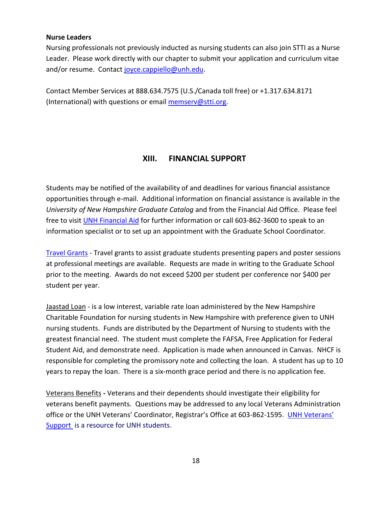#### **Nurse Leaders**

Nursing professionals not previously inducted as nursing students can also join STTI as a Nurse Leader. Please work directly with our chapter to submit your application and curriculum vitae and/or resume. Contact [joyce.cappiello@unh.edu.](mailto:joyce.cappiello@unh.edu)

Contact Member Services at 888.634.7575 (U.S./Canada toll free) or +1.317.634.8171 (International) with questions or email [memserv@stti.org.](mailto:memserv@stti.org)

## **XIII. FINANCIAL SUPPORT**

<span id="page-20-0"></span>Students may be notified of the availability of and deadlines for various financial assistance opportunities through e-mail. Additional information on financial assistance is available in the *University of New Hampshire Graduate Catalog* and from the Financial Aid Office. Please feel free to visit [UNH Financial Aid](https://www.unh.edu/financialaid) for further information or call 603-862-3600 to speak to an information specialist or to set up an appointment with the Graduate School Coordinator.

[Travel Grants](http://www.gradschool.unh.edu/php/travel_grant.php) - Travel grants to assist graduate students presenting papers and poster sessions at professional meetings are available. Requests are made in writing to the Graduate School prior to the meeting. Awards do not exceed \$200 per student per conference nor \$400 per student per year.

Jaastad Loan - is a low interest, variable rate loan administered by the New Hampshire Charitable Foundation for nursing students in New Hampshire with preference given to UNH nursing students. Funds are distributed by the Department of Nursing to students with the greatest financial need. The student must complete the FAFSA, Free Application for Federal Student Aid, and demonstrate need. Application is made when announced in Canvas. NHCF is responsible for completing the promissory note and collecting the loan. A student has up to 10 years to repay the loan. There is a six-month grace period and there is no application fee.

Veterans Benefits **-** Veterans and their dependents should investigate their eligibility for veterans benefit payments. Questions may be addressed to any local Veterans Administration office or the UNH Veterans' Coordinator, Registrar's Office at 603-862-1595. [UNH Veterans](http://www.unh.edu/veterans/)' [Support](http://www.unh.edu/veterans/) is a resource for UNH students.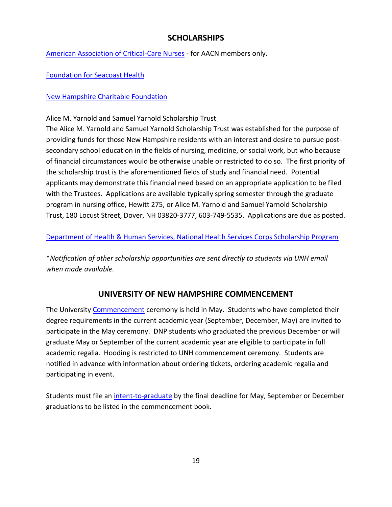## **SCHOLARSHIPS**

<span id="page-21-0"></span>[American Association of Critical-Care Nurses](https://www.aacn.org/about-aacn) - for AACN members only.

[Foundation for Seacoast Health](http://www.ffsh.org/)

## [New Hampshire Charitable Foundation](http://www.nhcf.org/)

## Alice M. Yarnold and Samuel Yarnold Scholarship Trust

The Alice M. Yarnold and Samuel Yarnold Scholarship Trust was established for the purpose of providing funds for those New Hampshire residents with an interest and desire to pursue postsecondary school education in the fields of nursing, medicine, or social work, but who because of financial circumstances would be otherwise unable or restricted to do so. The first priority of the scholarship trust is the aforementioned fields of study and financial need. Potential applicants may demonstrate this financial need based on an appropriate application to be filed with the Trustees. Applications are available typically spring semester through the graduate program in nursing office, Hewitt 275, or Alice M. Yarnold and Samuel Yarnold Scholarship Trust, 180 Locust Street, Dover, NH 03820-3777, 603-749-5535. Applications are due as posted.

[Department of Health & Human Services, National Health Services Corps Scholarship Program](http://www.federalgrantswire.com/national-health-service-corps-scholarship-program.html#.Vs8XCOYnlTc)

\**Notification of other scholarship opportunities are sent directly to students via UNH email when made available.*

## **UNIVERSITY OF NEW HAMPSHIRE COMMENCEMENT**

<span id="page-21-1"></span>The University [Commencement](http://www.unh.edu/university-ceremonies-and-events/commencement/) ceremony is held in May. Students who have completed their degree requirements in the current academic year (September, December, May) are invited to participate in the May ceremony. DNP students who graduated the previous December or will graduate May or September of the current academic year are eligible to participate in full academic regalia. Hooding is restricted to UNH commencement ceremony. Students are notified in advance with information about ordering tickets, ordering academic regalia and participating in event.

Students must file an [intent-to-graduate](http://gradschool.unh.edu/graduation.php#intent) by the final deadline for May, September or December graduations to be listed in the commencement book.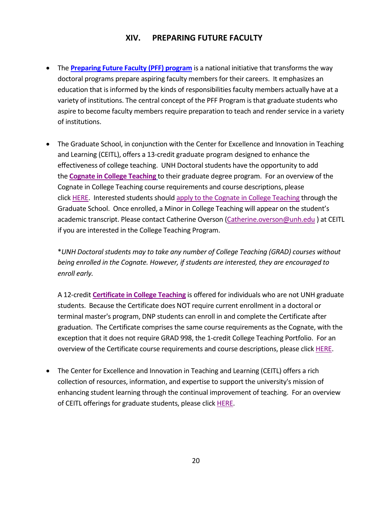## **XIV. PREPARING FUTURE FACULTY**

- <span id="page-22-0"></span>• The **[Preparing Future Faculty \(PFF\) program](https://gradschool.unh.edu/graduate-student-resources/career-professional-development#collapse_466)** is a national initiative that transforms the way doctoral programs prepare aspiring faculty members for their careers. It emphasizes an education that is informed by the kinds of responsibilities faculty members actually have at a variety of institutions. The central concept of the PFF Program is that graduate students who aspire to become faculty members require preparation to teach and render service in a variety of institutions.
- The Graduate School, in conjunction with the Center for Excellence and Innovation in Teaching and Learning (CEITL), offers a 13-credit graduate program designed to enhance the effectiveness of college teaching. UNH Doctoral students have the opportunity to add the **[Cognate in College Teaching](https://nam12.safelinks.protection.outlook.com/?url=https%3A%2F%2Fwww.unh.edu%2Fcetl%2Fcognate&data=02%7C01%7CDonna.Pelletier%40unh.edu%7Cb35d5e1f4705471b35f608d842eacd47%7Cd6241893512d46dc8d2bbe47e25f5666%7C0%7C0%7C637332923516275108&sdata=Vb668VyeTBNr7%2BvpmvEDOumYyGhJ8INryc%2FQ8tBbsd4%3D&reserved=0)** to their graduate degree program. For an overview of the Cognate in College Teaching course requirements and course descriptions, please click [HERE.](https://nam12.safelinks.protection.outlook.com/?url=https%3A%2F%2Fwww.unh.edu%2Fcetl%2Facademic-programs-college-teaching&data=02%7C01%7CDonna.Pelletier%40unh.edu%7Cb35d5e1f4705471b35f608d842eacd47%7Cd6241893512d46dc8d2bbe47e25f5666%7C0%7C0%7C637332923516275108&sdata=QZGa9begNhlS9ggpymoqHHpg0kyNFeb3hyuQpAZr4no%3D&reserved=0) Interested students should [apply to the Cognate in College Teaching](https://nam12.safelinks.protection.outlook.com/?url=https%3A%2F%2Fwww.unh.edu%2Fsites%2Fdefault%2Ffiles%2Fcoll_teach_app.pdf&data=02%7C01%7CDonna.Pelletier%40unh.edu%7Cb35d5e1f4705471b35f608d842eacd47%7Cd6241893512d46dc8d2bbe47e25f5666%7C0%7C0%7C637332923516285104&sdata=UUdxClC7TQeAQ8heXXVH1X5ipjOuuYpBpXYTnlVmOEI%3D&reserved=0) through the Graduate School. Once enrolled, a Minor in College Teaching will appear on the student's academic transcript. Please contact Catherine Overson [\(Catherine.overson@unh.edu](mailto:Catherine.overson@unh.edu) ) at CEITL if you are interested in the College Teaching Program.

\**UNH Doctoral students may to take any number of College Teaching (GRAD) courses without being enrolled in the Cognate. However, if students are interested, they are encouraged to enroll early.*

A 12-credit **[Certificate in College Teaching](https://nam12.safelinks.protection.outlook.com/?url=https%3A%2F%2Fwww.unh.edu%2Fcetl%2Fgraduate-certificate-college-teaching%2F&data=02%7C01%7CDonna.Pelletier%40unh.edu%7Cb35d5e1f4705471b35f608d842eacd47%7Cd6241893512d46dc8d2bbe47e25f5666%7C0%7C0%7C637332923516285104&sdata=uSAa4ZoT3z94ciwAbwScJEOgyhcyV2phEBwMLsVph3A%3D&reserved=0)** is offered for individuals who are not UNH graduate students. Because the Certificate does NOT require current enrollment in a doctoral or terminal master's program, DNP students can enroll in and complete the Certificate after graduation. The Certificate comprises the same course requirements as the Cognate, with the exception that it does not require GRAD 998, the 1-credit College Teaching Portfolio. For an overview of the Certificate course requirements and course descriptions, please click [HERE.](https://nam12.safelinks.protection.outlook.com/?url=https%3A%2F%2Fwww.unh.edu%2Fcetl%2Facademic-programs-college-teaching&data=02%7C01%7CDonna.Pelletier%40unh.edu%7Cb35d5e1f4705471b35f608d842eacd47%7Cd6241893512d46dc8d2bbe47e25f5666%7C0%7C0%7C637332923516295098&sdata=hnhE%2Fo1XI2p4gTLkTpLpR85BLC8gkP8RbhqB%2Fg%2Bk%2F%2BM%3D&reserved=0)

• The Center for Excellence and Innovation in Teaching and Learning (CEITL) offers a rich collection of resources, information, and expertise to support the university's mission of enhancing student learning through the continual improvement of teaching. For an overview of CEITL offerings for graduate students, please click [HERE.](https://nam12.safelinks.protection.outlook.com/?url=https%3A%2F%2Fwww.unh.edu%2Fcetl%2Fservices-faculty-and-teaching-graduate-students&data=02%7C01%7CDonna.Pelletier%40unh.edu%7Cb35d5e1f4705471b35f608d842eacd47%7Cd6241893512d46dc8d2bbe47e25f5666%7C0%7C0%7C637332923516295098&sdata=x1WCDSSfqz7eWPf3bsEu8E2wLxmmCD%2F9xsKIMwd9kVw%3D&reserved=0)